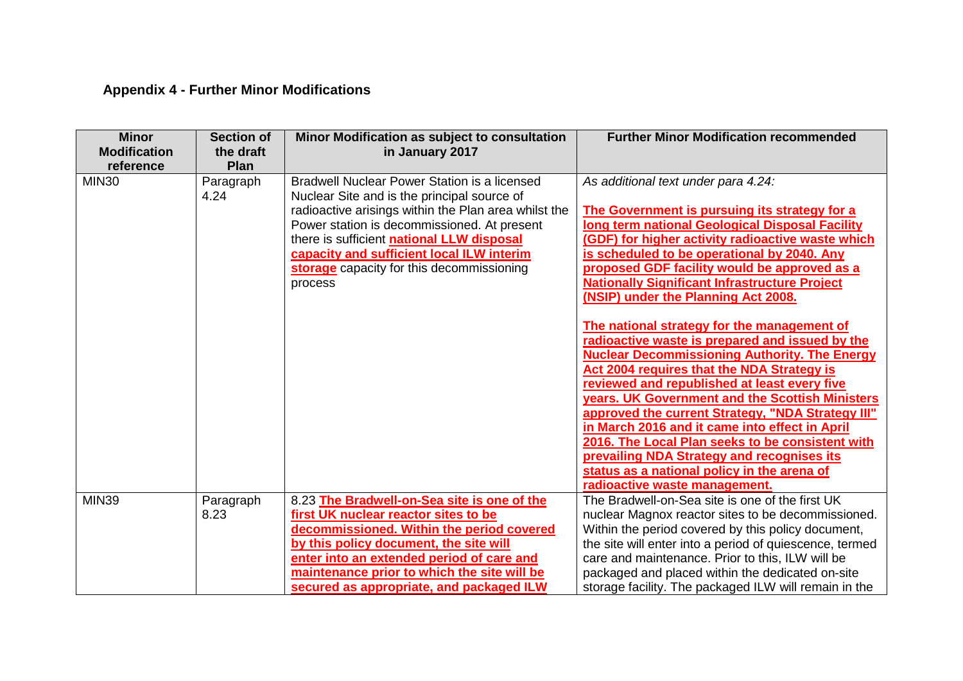## **Appendix 4 - Further Minor Modifications**

| <b>Minor</b><br><b>Modification</b><br>reference | <b>Section of</b><br>the draft<br>Plan | Minor Modification as subject to consultation<br>in January 2017                                                                                                                                                                                                                                                                                     | <b>Further Minor Modification recommended</b>                                                                                                                                                                                                                                                                                                                                                                                                                                                                                                                                                                                                                                                                                                                                                                                                                                                                                                                                                         |
|--------------------------------------------------|----------------------------------------|------------------------------------------------------------------------------------------------------------------------------------------------------------------------------------------------------------------------------------------------------------------------------------------------------------------------------------------------------|-------------------------------------------------------------------------------------------------------------------------------------------------------------------------------------------------------------------------------------------------------------------------------------------------------------------------------------------------------------------------------------------------------------------------------------------------------------------------------------------------------------------------------------------------------------------------------------------------------------------------------------------------------------------------------------------------------------------------------------------------------------------------------------------------------------------------------------------------------------------------------------------------------------------------------------------------------------------------------------------------------|
| <b>MIN30</b>                                     | Paragraph<br>4.24                      | Bradwell Nuclear Power Station is a licensed<br>Nuclear Site and is the principal source of<br>radioactive arisings within the Plan area whilst the<br>Power station is decommissioned. At present<br>there is sufficient national LLW disposal<br>capacity and sufficient local ILW interim<br>storage capacity for this decommissioning<br>process | As additional text under para 4.24:<br>The Government is pursuing its strategy for a<br><b>Iong term national Geological Disposal Facility</b><br>(GDF) for higher activity radioactive waste which<br>is scheduled to be operational by 2040. Any<br>proposed GDF facility would be approved as a<br><b>Nationally Significant Infrastructure Project</b><br>(NSIP) under the Planning Act 2008.<br>The national strategy for the management of<br>radioactive waste is prepared and issued by the<br><b>Nuclear Decommissioning Authority. The Energy</b><br>Act 2004 requires that the NDA Strategy is<br>reviewed and republished at least every five<br>years. UK Government and the Scottish Ministers<br>approved the current Strategy, "NDA Strategy III"<br>in March 2016 and it came into effect in April<br>2016. The Local Plan seeks to be consistent with<br>prevailing NDA Strategy and recognises its<br>status as a national policy in the arena of<br>radioactive waste management. |
| <b>MIN39</b>                                     | Paragraph<br>8.23                      | 8.23 The Bradwell-on-Sea site is one of the<br>first UK nuclear reactor sites to be<br>decommissioned. Within the period covered<br>by this policy document, the site will<br>enter into an extended period of care and<br>maintenance prior to which the site will be<br>secured as appropriate, and packaged ILW                                   | The Bradwell-on-Sea site is one of the first UK<br>nuclear Magnox reactor sites to be decommissioned.<br>Within the period covered by this policy document,<br>the site will enter into a period of quiescence, termed<br>care and maintenance. Prior to this, ILW will be<br>packaged and placed within the dedicated on-site<br>storage facility. The packaged ILW will remain in the                                                                                                                                                                                                                                                                                                                                                                                                                                                                                                                                                                                                               |